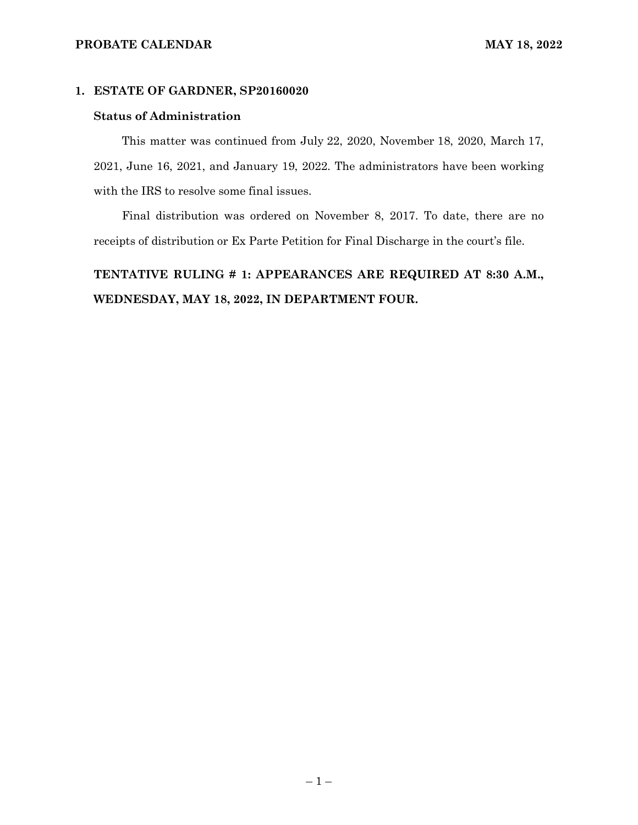#### **PROBATE CALENDAR MAY 18, 2022**

#### **1. ESTATE OF GARDNER, SP20160020**

#### **Status of Administration**

This matter was continued from July 22, 2020, November 18, 2020, March 17, 2021, June 16, 2021, and January 19, 2022. The administrators have been working with the IRS to resolve some final issues.

Final distribution was ordered on November 8, 2017. To date, there are no receipts of distribution or Ex Parte Petition for Final Discharge in the court's file.

# **TENTATIVE RULING # 1: APPEARANCES ARE REQUIRED AT 8:30 A.M., WEDNESDAY, MAY 18, 2022, IN DEPARTMENT FOUR.**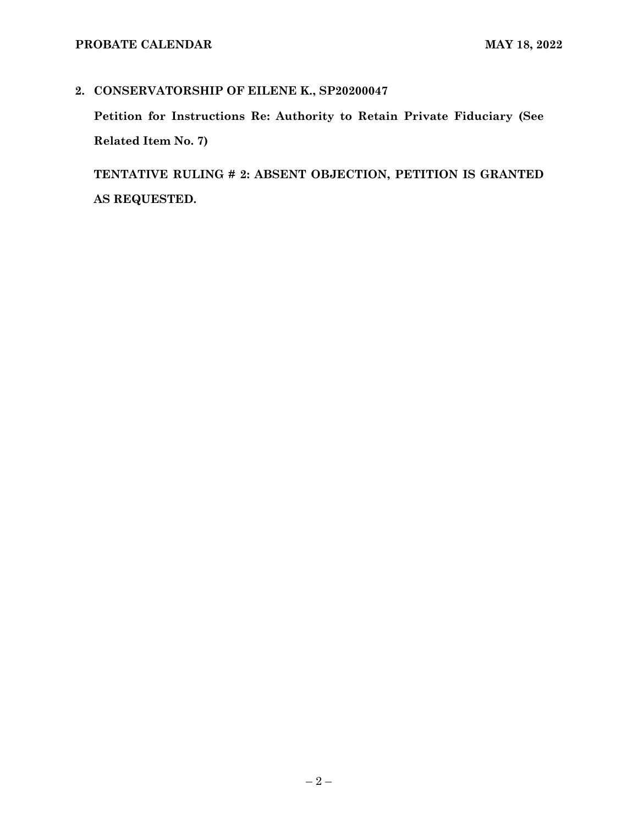# **2. CONSERVATORSHIP OF EILENE K., SP20200047**

**Petition for Instructions Re: Authority to Retain Private Fiduciary (See Related Item No. 7)**

**TENTATIVE RULING # 2: ABSENT OBJECTION, PETITION IS GRANTED AS REQUESTED.**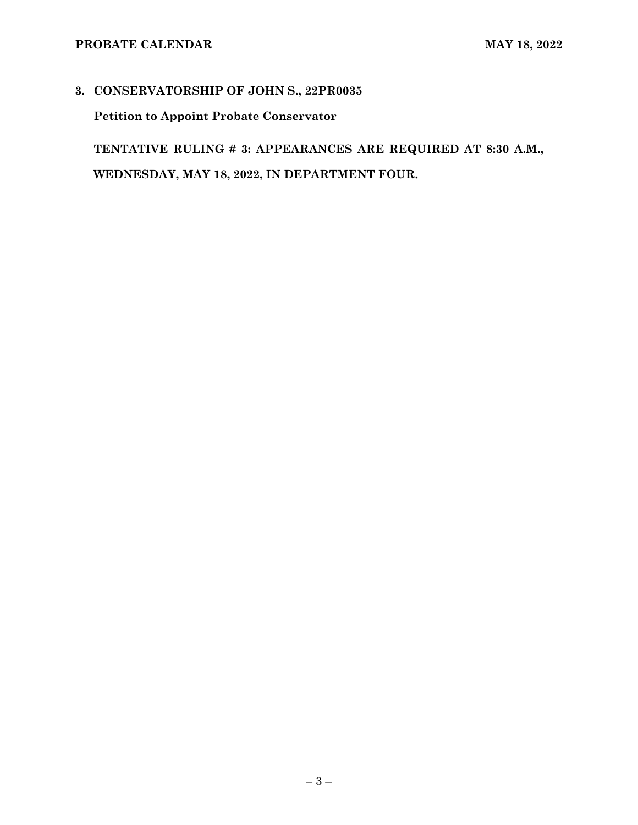# **3. CONSERVATORSHIP OF JOHN S., 22PR0035**

**Petition to Appoint Probate Conservator**

**TENTATIVE RULING # 3: APPEARANCES ARE REQUIRED AT 8:30 A.M., WEDNESDAY, MAY 18, 2022, IN DEPARTMENT FOUR.**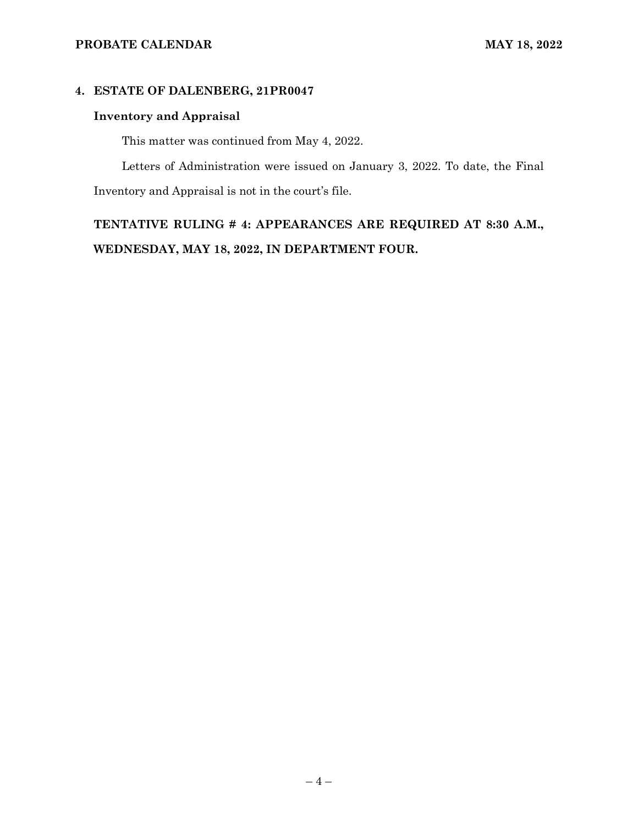## **4. ESTATE OF DALENBERG, 21PR0047**

# **Inventory and Appraisal**

This matter was continued from May 4, 2022.

Letters of Administration were issued on January 3, 2022. To date, the Final Inventory and Appraisal is not in the court's file.

**TENTATIVE RULING # 4: APPEARANCES ARE REQUIRED AT 8:30 A.M., WEDNESDAY, MAY 18, 2022, IN DEPARTMENT FOUR.**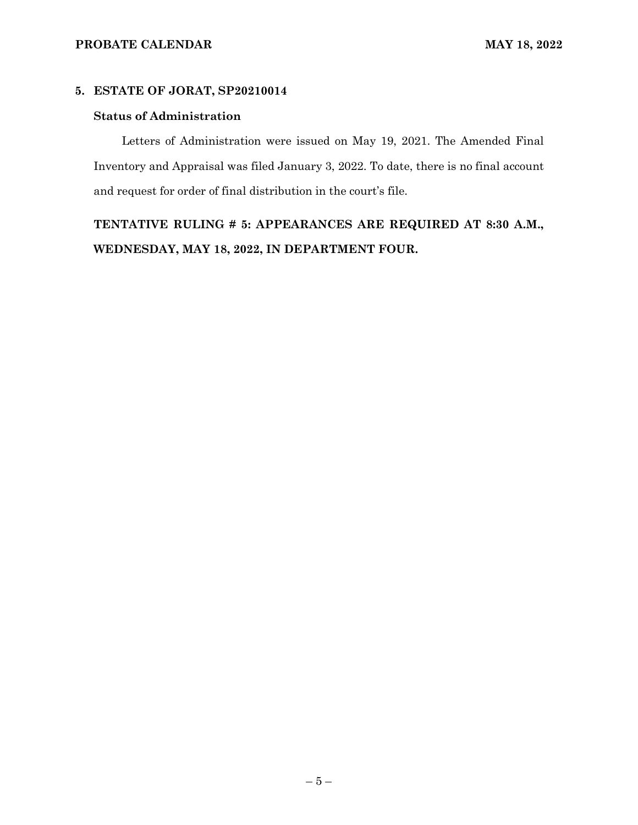## **5. ESTATE OF JORAT, SP20210014**

### **Status of Administration**

Letters of Administration were issued on May 19, 2021. The Amended Final Inventory and Appraisal was filed January 3, 2022. To date, there is no final account and request for order of final distribution in the court's file.

**TENTATIVE RULING # 5: APPEARANCES ARE REQUIRED AT 8:30 A.M., WEDNESDAY, MAY 18, 2022, IN DEPARTMENT FOUR.**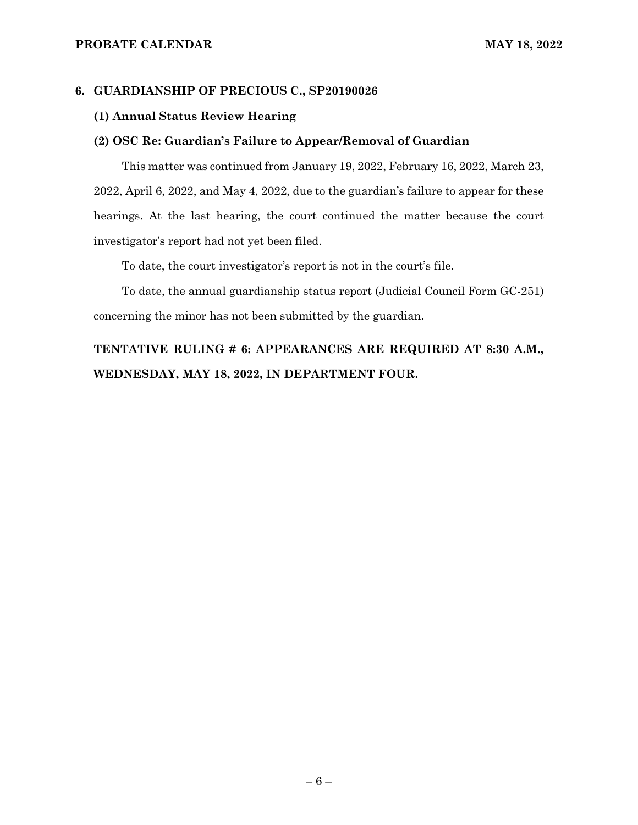#### **6. GUARDIANSHIP OF PRECIOUS C., SP20190026**

### **(1) Annual Status Review Hearing**

#### **(2) OSC Re: Guardian's Failure to Appear/Removal of Guardian**

This matter was continued from January 19, 2022, February 16, 2022, March 23, 2022, April 6, 2022, and May 4, 2022, due to the guardian's failure to appear for these hearings. At the last hearing, the court continued the matter because the court investigator's report had not yet been filed.

To date, the court investigator's report is not in the court's file.

To date, the annual guardianship status report (Judicial Council Form GC-251) concerning the minor has not been submitted by the guardian.

# **TENTATIVE RULING # 6: APPEARANCES ARE REQUIRED AT 8:30 A.M., WEDNESDAY, MAY 18, 2022, IN DEPARTMENT FOUR.**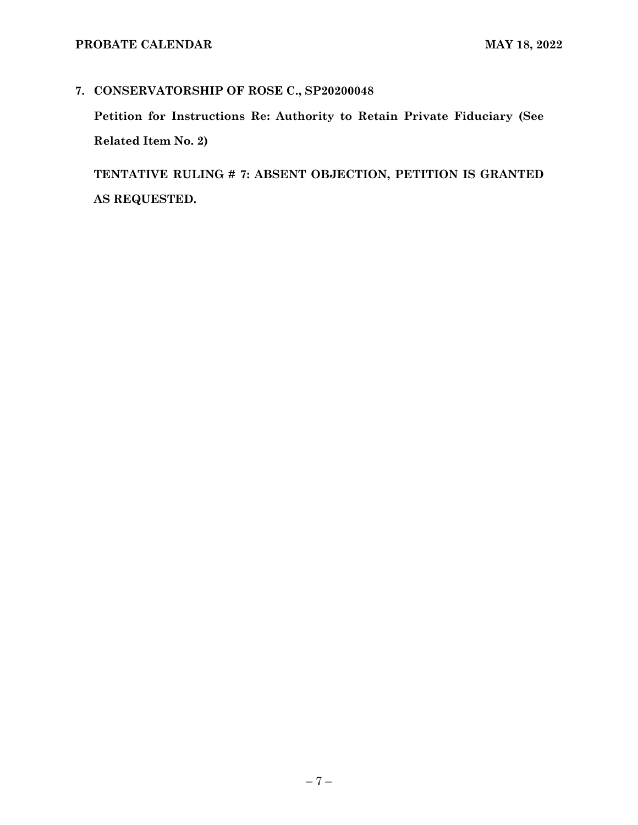# **7. CONSERVATORSHIP OF ROSE C., SP20200048**

**Petition for Instructions Re: Authority to Retain Private Fiduciary (See Related Item No. 2)**

**TENTATIVE RULING # 7: ABSENT OBJECTION, PETITION IS GRANTED AS REQUESTED.**